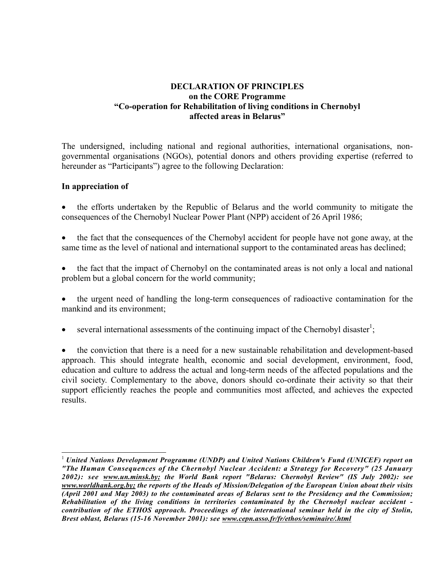## **DECLARATION OF PRINCIPLES on the CORE Programme "Co-operation for Rehabilitation of living conditions in Chernobyl affected areas in Belarus"**

The undersigned, including national and regional authorities, international organisations, nongovernmental organisations (NGOs), potential donors and others providing expertise (referred to hereunder as "Participants") agree to the following Declaration:

## **In appreciation of**

-

- the efforts undertaken by the Republic of Belarus and the world community to mitigate the consequences of the Chernobyl Nuclear Power Plant (NPP) accident of 26 April 1986;
- the fact that the consequences of the Chernobyl accident for people have not gone away, at the same time as the level of national and international support to the contaminated areas has declined;
- the fact that the impact of Chernobyl on the contaminated areas is not only a local and national problem but a global concern for the world community;
- the urgent need of handling the long-term consequences of radioactive contamination for the mankind and its environment;
- several international assessments of the continuing impact of the Chernobyl disaster<sup>1</sup>;

• the conviction that there is a need for a new sustainable rehabilitation and development-based approach. This should integrate health, economic and social development, environment, food, education and culture to address the actual and long-term needs of the affected populations and the civil society. Complementary to the above, donors should co-ordinate their activity so that their support efficiently reaches the people and communities most affected, and achieves the expected results.

<span id="page-0-0"></span><sup>1</sup> *United Nations Development Programme (UNDP) and United Nations Children's Fund (UNICEF) report on "The Human Consequences of the Chernobyl Nuclear Accident: a Strategy for Recovery" (25 January 2002): see www.un.minsk.by; the World Bank report "Belarus: Chernobyl Review" (IS July 2002): see www.worldhank.org.by; the reports of the Heads of Mission/Delegation of the European Union about their visits (April 2001 and May 2003) to the contaminated areas of Belarus sent to the Presidency and the Commission; Rehabilitation of the living conditions in territories contaminated by the Chernobyl nuclear accident contribution of the ETHOS approach. Proceedings of the international seminar held in the city of Stolin, Brest oblast, Belarus (15-16 November 2001): see www.cepn.asso.fr/fr/ethos/seminaire/.html*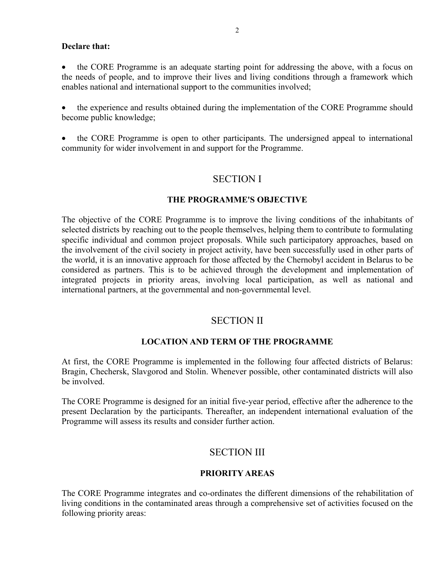#### **Declare that:**

• the CORE Programme is an adequate starting point for addressing the above, with a focus on the needs of people, and to improve their lives and living conditions through a framework which enables national and international support to the communities involved;

• the experience and results obtained during the implementation of the CORE Programme should become public knowledge;

• the CORE Programme is open to other participants. The undersigned appeal to international community for wider involvement in and support for the Programme.

## SECTION I

#### **THE PROGRAMME'S OBJECTIVE**

The objective of the CORE Programme is to improve the living conditions of the inhabitants of selected districts by reaching out to the people themselves, helping them to contribute to formulating specific individual and common project proposals. While such participatory approaches, based on the involvement of the civil society in project activity, have been successfully used in other parts of the world, it is an innovative approach for those affected by the Chernobyl accident in Belarus to be considered as partners. This is to be achieved through the development and implementation of integrated projects in priority areas, involving local participation, as well as national and international partners, at the governmental and non-governmental level.

### SECTION II

#### **LOCATION AND TERM OF THE PROGRAMME**

At first, the CORE Programme is implemented in the following four affected districts of Belarus: Bragin, Chechersk, Slavgorod and Stolin. Whenever possible, other contaminated districts will also be involved.

The CORE Programme is designed for an initial five-year period, effective after the adherence to the present Declaration by the participants. Thereafter, an independent international evaluation of the Programme will assess its results and consider further action.

## SECTION III

#### **PRIORITY AREAS**

The CORE Programme integrates and co-ordinates the different dimensions of the rehabilitation of living conditions in the contaminated areas through a comprehensive set of activities focused on the following priority areas: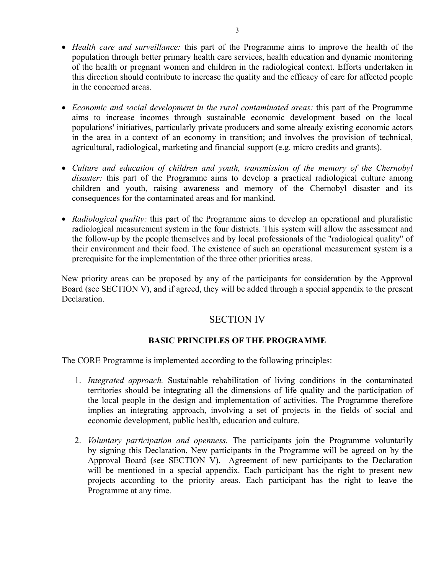- *Health care and surveillance:* this part of the Programme aims to improve the health of the population through better primary health care services, health education and dynamic monitoring of the health or pregnant women and children in the radiological context. Efforts undertaken in this direction should contribute to increase the quality and the efficacy of care for affected people in the concerned areas.
- *Economic and social development in the rural contaminated areas:* this part of the Programme aims to increase incomes through sustainable economic development based on the local populations' initiatives, particularly private producers and some already existing economic actors in the area in a context of an economy in transition; and involves the provision of technical, agricultural, radiological, marketing and financial support (e.g. micro credits and grants).
- *Culture and education of children and youth, transmission of the memory of the Chernobyl disaster:* this part of the Programme aims to develop a practical radiological culture among children and youth, raising awareness and memory of the Chernobyl disaster and its consequences for the contaminated areas and for mankind.
- *Radiological quality:* this part of the Programme aims to develop an operational and pluralistic radiological measurement system in the four districts. This system will allow the assessment and the follow-up by the people themselves and by local professionals of the "radiological quality" of their environment and their food. The existence of such an operational measurement system is a prerequisite for the implementation of the three other priorities areas.

New priority areas can be proposed by any of the participants for consideration by the Approval Board (see SECTION V), and if agreed, they will be added through a special appendix to the present **Declaration** 

# SECTION IV

## **BASIC PRINCIPLES OF THE PROGRAMME**

The CORE Programme is implemented according to the following principles:

- 1. *Integrated approach.* Sustainable rehabilitation of living conditions in the contaminated territories should be integrating all the dimensions of life quality and the participation of the local people in the design and implementation of activities. The Programme therefore implies an integrating approach, involving a set of projects in the fields of social and economic development, public health, education and culture.
- 2. *Voluntary participation and openness.* The participants join the Programme voluntarily by signing this Declaration. New participants in the Programme will be agreed on by the Approval Board (see SECTION V). Agreement of new participants to the Declaration will be mentioned in a special appendix. Each participant has the right to present new projects according to the priority areas. Each participant has the right to leave the Programme at any time.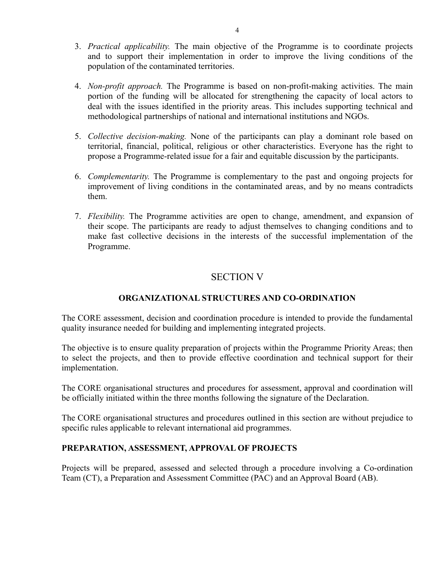- 3. *Practical applicability.* The main objective of the Programme is to coordinate projects and to support their implementation in order to improve the living conditions of the population of the contaminated territories.
- 4. *Non-profit approach.* The Programme is based on non-profit-making activities. The main portion of the funding will be allocated for strengthening the capacity of local actors to deal with the issues identified in the priority areas. This includes supporting technical and methodological partnerships of national and international institutions and NGOs.
- 5. *Collective decision-making.* None of the participants can play a dominant role based on territorial, financial, political, religious or other characteristics. Everyone has the right to propose a Programme-related issue for a fair and equitable discussion by the participants.
- 6. *Complementarity.* The Programme is complementary to the past and ongoing projects for improvement of living conditions in the contaminated areas, and by no means contradicts them.
- 7. *Flexibility.* The Programme activities are open to change, amendment, and expansion of their scope. The participants are ready to adjust themselves to changing conditions and to make fast collective decisions in the interests of the successful implementation of the Programme.

## SECTION V

## **ORGANIZATIONAL STRUCTURES AND CO-ORDINATION**

The CORE assessment, decision and coordination procedure is intended to provide the fundamental quality insurance needed for building and implementing integrated projects.

The objective is to ensure quality preparation of projects within the Programme Priority Areas; then to select the projects, and then to provide effective coordination and technical support for their implementation.

The CORE organisational structures and procedures for assessment, approval and coordination will be officially initiated within the three months following the signature of the Declaration.

The CORE organisational structures and procedures outlined in this section are without prejudice to specific rules applicable to relevant international aid programmes.

#### **PREPARATION, ASSESSMENT, APPROVAL OF PROJECTS**

Projects will be prepared, assessed and selected through a procedure involving a Co-ordination Team (CT), a Preparation and Assessment Committee (PAC) and an Approval Board (AB).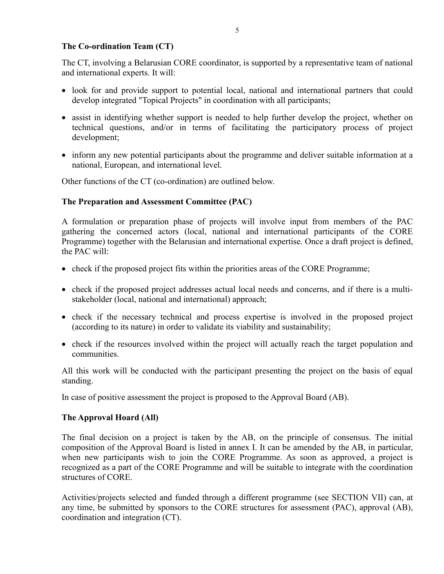### **The Co-ordination Team (CT)**

The CT, involving a Belarusian CORE coordinator, is supported by a representative team of national and international experts. It will:

- look for and provide support to potential local, national and international partners that could develop integrated "Topical Projects" in coordination with all participants;
- assist in identifying whether support is needed to help further develop the project, whether on technical questions, and/or in terms of facilitating the participatory process of project development;
- inform any new potential participants about the programme and deliver suitable information at a national, European, and international level.

Other functions of the CT (co-ordination) are outlined below.

## **The Preparation and Assessment Committee (PAC)**

A formulation or preparation phase of projects will involve input from members of the PAC gathering the concerned actors (local, national and international participants of the CORE Programme) together with the Belarusian and international expertise. Once a draft project is defined, the PAC will:

- check if the proposed project fits within the priorities areas of the CORE Programme;
- check if the proposed project addresses actual local needs and concerns, and if there is a multistakeholder (local, national and international) approach;
- check if the necessary technical and process expertise is involved in the proposed project (according to its nature) in order to validate its viability and sustainability;
- check if the resources involved within the project will actually reach the target population and communities.

All this work will be conducted with the participant presenting the project on the basis of equal standing.

In case of positive assessment the project is proposed to the Approval Board (AB).

#### **The Approval Hoard (All)**

The final decision on a project is taken by the AB, on the principle of consensus. The initial composition of the Approval Board is listed in annex I. It can be amended by the AB, in particular, when new participants wish to join the CORE Programme. As soon as approved, a project is recognized as a part of the CORE Programme and will be suitable to integrate with the coordination structures of CORE.

Activities/projects selected and funded through a different programme (see SECTION VII) can, at any time, be submitted by sponsors to the CORE structures for assessment (PAC), approval (AB), coordination and integration (CT).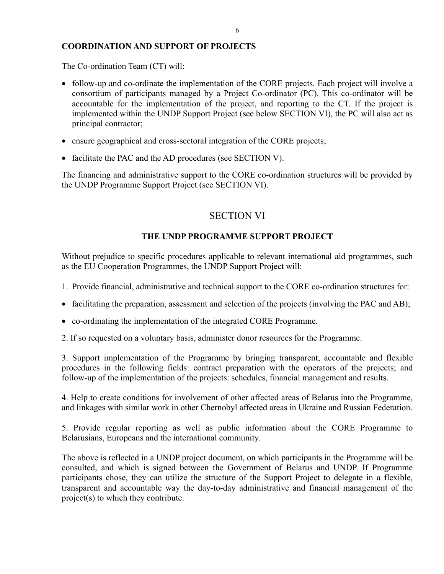## **COORDINATION AND SUPPORT OF PROJECTS**

The Co-ordination Team (CT) will:

- follow-up and co-ordinate the implementation of the CORE projects. Each project will involve a consortium of participants managed by a Project Co-ordinator (PC). This co-ordinator will be accountable for the implementation of the project, and reporting to the CT. If the project is implemented within the UNDP Support Project (see below SECTION VI), the PC will also act as principal contractor;
- ensure geographical and cross-sectoral integration of the CORE projects;
- facilitate the PAC and the AD procedures (see SECTION V).

The financing and administrative support to the CORE co-ordination structures will be provided by the UNDP Programme Support Project (see SECTION VI).

## SECTION VI

## **THE UNDP PROGRAMME SUPPORT PROJECT**

Without prejudice to specific procedures applicable to relevant international aid programmes, such as the EU Cooperation Programmes, the UNDP Support Project will:

- 1. Provide financial, administrative and technical support to the CORE co-ordination structures for:
- facilitating the preparation, assessment and selection of the projects (involving the PAC and AB);
- co-ordinating the implementation of the integrated CORE Programme.
- 2. If so requested on a voluntary basis, administer donor resources for the Programme.

3. Support implementation of the Programme by bringing transparent, accountable and flexible procedures in the following fields: contract preparation with the operators of the projects; and follow-up of the implementation of the projects: schedules, financial management and results.

4. Help to create conditions for involvement of other affected areas of Belarus into the Programme, and linkages with similar work in other Chernobyl affected areas in Ukraine and Russian Federation.

5. Provide regular reporting as well as public information about the CORE Programme to Belarusians, Europeans and the international community.

The above is reflected in a UNDP project document, on which participants in the Programme will be consulted, and which is signed between the Government of Belarus and UNDP. If Programme participants chose, they can utilize the structure of the Support Project to delegate in a flexible, transparent and accountable way the day-to-day administrative and financial management of the project(s) to which they contribute.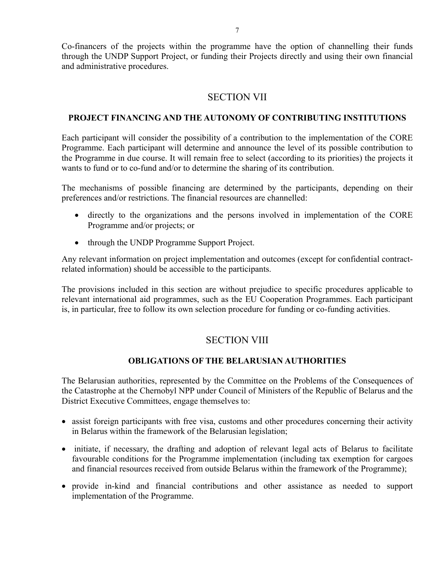Co-financers of the projects within the programme have the option of channelling their funds through the UNDP Support Project, or funding their Projects directly and using their own financial and administrative procedures.

## SECTION VII

### **PROJECT FINANCING AND THE AUTONOMY OF CONTRIBUTING INSTITUTIONS**

Each participant will consider the possibility of a contribution to the implementation of the CORE Programme. Each participant will determine and announce the level of its possible contribution to the Programme in due course. It will remain free to select (according to its priorities) the projects it wants to fund or to co-fund and/or to determine the sharing of its contribution.

The mechanisms of possible financing are determined by the participants, depending on their preferences and/or restrictions. The financial resources are channelled:

- directly to the organizations and the persons involved in implementation of the CORE Programme and/or projects; or
- through the UNDP Programme Support Project.

Any relevant information on project implementation and outcomes (except for confidential contractrelated information) should be accessible to the participants.

The provisions included in this section are without prejudice to specific procedures applicable to relevant international aid programmes, such as the EU Cooperation Programmes. Each participant is, in particular, free to follow its own selection procedure for funding or co-funding activities.

## SECTION VIII

## **OBLIGATIONS OF THE BELARUSIAN AUTHORITIES**

The Belarusian authorities, represented by the Committee on the Problems of the Consequences of the Catastrophe at the Chernobyl NPP under Council of Ministers of the Republic of Belarus and the District Executive Committees, engage themselves to:

- assist foreign participants with free visa, customs and other procedures concerning their activity in Belarus within the framework of the Belarusian legislation;
- initiate, if necessary, the drafting and adoption of relevant legal acts of Belarus to facilitate favourable conditions for the Programme implementation (including tax exemption for cargoes and financial resources received from outside Belarus within the framework of the Programme);
- provide in-kind and financial contributions and other assistance as needed to support implementation of the Programme.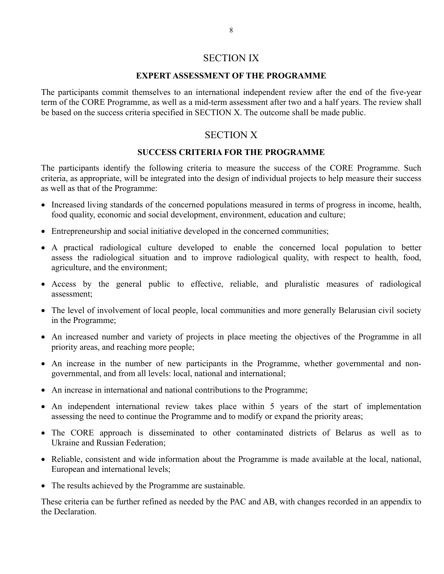## SECTION IX

#### **EXPERT ASSESSMENT OF THE PROGRAMME**

The participants commit themselves to an international independent review after the end of the five-year term of the CORE Programme, as well as a mid-term assessment after two and a half years. The review shall be based on the success criteria specified in SECTION X. The outcome shall be made public.

## SECTION X

#### **SUCCESS CRITERIA FOR THE PROGRAMME**

The participants identify the following criteria to measure the success of the CORE Programme. Such criteria, as appropriate, will be integrated into the design of individual projects to help measure their success as well as that of the Programme:

- Increased living standards of the concerned populations measured in terms of progress in income, health, food quality, economic and social development, environment, education and culture;
- Entrepreneurship and social initiative developed in the concerned communities;
- A practical radiological culture developed to enable the concerned local population to better assess the radiological situation and to improve radiological quality, with respect to health, food, agriculture, and the environment;
- Access by the general public to effective, reliable, and pluralistic measures of radiological assessment;
- The level of involvement of local people, local communities and more generally Belarusian civil society in the Programme;
- An increased number and variety of projects in place meeting the objectives of the Programme in all priority areas, and reaching more people;
- An increase in the number of new participants in the Programme, whether governmental and nongovernmental, and from all levels: local, national and international;
- An increase in international and national contributions to the Programme;
- An independent international review takes place within 5 years of the start of implementation assessing the need to continue the Programme and to modify or expand the priority areas;
- The CORE approach is disseminated to other contaminated districts of Belarus as well as to Ukraine and Russian Federation;
- Reliable, consistent and wide information about the Programme is made available at the local, national, European and international levels;
- The results achieved by the Programme are sustainable.

These criteria can be further refined as needed by the PAC and AB, with changes recorded in an appendix to the Declaration.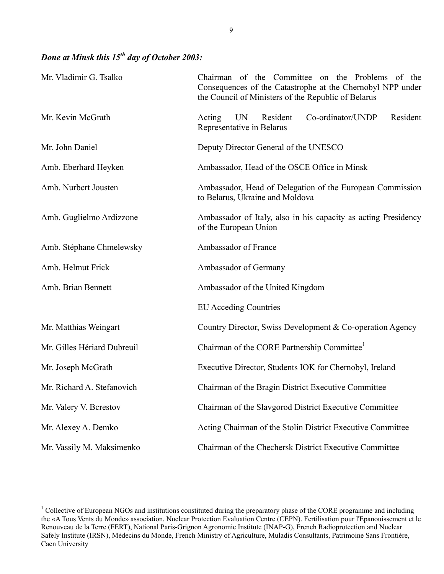# *Done at Minsk this 15th day of October 2003:*

| Mr. Vladimir G. Tsalko      | Chairman of the Committee on the Problems of the<br>Consequences of the Catastrophe at the Chernobyl NPP under<br>the Council of Ministers of the Republic of Belarus |
|-----------------------------|-----------------------------------------------------------------------------------------------------------------------------------------------------------------------|
| Mr. Kevin McGrath           | <b>UN</b><br>Co-ordinator/UNDP<br>Resident<br>Resident<br>Acting<br>Representative in Belarus                                                                         |
| Mr. John Daniel             | Deputy Director General of the UNESCO                                                                                                                                 |
| Amb. Eberhard Heyken        | Ambassador, Head of the OSCE Office in Minsk                                                                                                                          |
| Amb. Nurbcrt Jousten        | Ambassador, Head of Delegation of the European Commission<br>to Belarus, Ukraine and Moldova                                                                          |
| Amb. Guglielmo Ardizzone    | Ambassador of Italy, also in his capacity as acting Presidency<br>of the European Union                                                                               |
| Amb. Stéphane Chmelewsky    | Ambassador of France                                                                                                                                                  |
| Amb. Helmut Frick           | Ambassador of Germany                                                                                                                                                 |
| Amb. Brian Bennett          | Ambassador of the United Kingdom                                                                                                                                      |
|                             | <b>EU</b> Acceding Countries                                                                                                                                          |
| Mr. Matthias Weingart       | Country Director, Swiss Development & Co-operation Agency                                                                                                             |
| Mr. Gilles Hériard Dubreuil | Chairman of the CORE Partnership Committee <sup>1</sup>                                                                                                               |
| Mr. Joseph McGrath          | Executive Director, Students IOK for Chernobyl, Ireland                                                                                                               |
| Mr. Richard A. Stefanovich  | Chairman of the Bragin District Executive Committee                                                                                                                   |
| Mr. Valery V. Berestov      | Chairman of the Slavgorod District Executive Committee                                                                                                                |
| Mr. Alexey A. Demko         | Acting Chairman of the Stolin District Executive Committee                                                                                                            |
| Mr. Vassily M. Maksimenko   | Chairman of the Chechersk District Executive Committee                                                                                                                |

<span id="page-8-0"></span><sup>&</sup>lt;sup>1</sup> Collective of European NGOs and institutions constituted during the preparatory phase of the CORE programme and including the «A Tous Vents du Monde» association. Nuclear Protection Evaluation Centre (CEPN). Fertilisation pour l'Epanouissement et le Renouveau de la Terre (FERT), National Paris-Grignon Agronomic Institute (INAP-G), French Radioprotection and Nuclear Safely Institute (IRSN), Médecins du Monde, French Ministry of Agriculture, Muladis Consultants, Patrimoine Sans Frontiére, Caen University